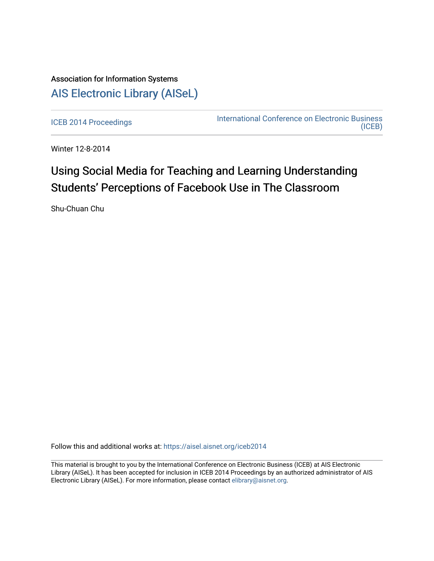## Association for Information Systems [AIS Electronic Library \(AISeL\)](https://aisel.aisnet.org/)

[ICEB 2014 Proceedings](https://aisel.aisnet.org/iceb2014) **International Conference on Electronic Business** [\(ICEB\)](https://aisel.aisnet.org/iceb) 

Winter 12-8-2014

## Using Social Media for Teaching and Learning Understanding Students' Perceptions of Facebook Use in The Classroom

Shu-Chuan Chu

Follow this and additional works at: [https://aisel.aisnet.org/iceb2014](https://aisel.aisnet.org/iceb2014?utm_source=aisel.aisnet.org%2Ficeb2014%2F7&utm_medium=PDF&utm_campaign=PDFCoverPages)

This material is brought to you by the International Conference on Electronic Business (ICEB) at AIS Electronic Library (AISeL). It has been accepted for inclusion in ICEB 2014 Proceedings by an authorized administrator of AIS Electronic Library (AISeL). For more information, please contact [elibrary@aisnet.org.](mailto:elibrary@aisnet.org%3E)